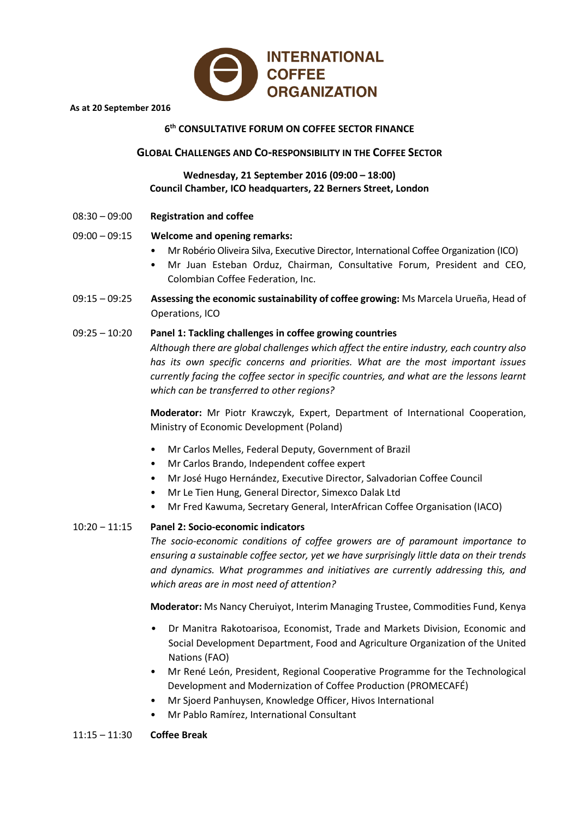

#### **As at 20 September 2016**

# **6th CONSULTATIVE FORUM ON COFFEE SECTOR FINANCE**

## **GLOBAL CHALLENGES AND CO-RESPONSIBILITY IN THE COFFEE SECTOR**

# **Wednesday, 21 September 2016 (09:00 – 18:00) Council Chamber, ICO headquarters, 22 Berners Street, London**

08:30 – 09:00 **Registration and coffee**

# 09:00 – 09:15 **Welcome and opening remarks:**

- Mr Robério Oliveira Silva, Executive Director, International Coffee Organization (ICO)
- Mr Juan Esteban Orduz, Chairman, Consultative Forum, President and CEO, Colombian Coffee Federation, Inc.
- 09:15 09:25 **Assessing the economic sustainability of coffee growing:** Ms Marcela Urueña, Head of Operations, ICO

## 09:25 – 10:20 **Panel 1: Tackling challenges in coffee growing countries**

*Although there are global challenges which affect the entire industry, each country also has its own specific concerns and priorities. What are the most important issues currently facing the coffee sector in specific countries, and what are the lessons learnt which can be transferred to other regions?*

**Moderator:** Mr Piotr Krawczyk, Expert, Department of International Cooperation, Ministry of Economic Development (Poland)

- Mr Carlos Melles, Federal Deputy, Government of Brazil
- Mr Carlos Brando, Independent coffee expert
- Mr José Hugo Hernández, Executive Director, Salvadorian Coffee Council
- Mr Le Tien Hung, General Director, Simexco Dalak Ltd
- Mr Fred Kawuma, Secretary General, InterAfrican Coffee Organisation (IACO)

## 10:20 ‒ 11:15 **Panel 2: Socio-economic indicators**

*The socio-economic conditions of coffee growers are of paramount importance to ensuring a sustainable coffee sector, yet we have surprisingly little data on their trends and dynamics. What programmes and initiatives are currently addressing this, and which areas are in most need of attention?*

**Moderator:** Ms Nancy Cheruiyot, Interim Managing Trustee, Commodities Fund, Kenya

- Dr Manitra Rakotoarisoa, Economist, Trade and Markets Division, Economic and Social Development Department, Food and Agriculture Organization of the United Nations (FAO)
- Mr René León, President, Regional Cooperative Programme for the Technological Development and Modernization of Coffee Production (PROMECAFÉ)
- Mr Sjoerd Panhuysen, Knowledge Officer, Hivos International
- Mr Pablo Ramírez, International Consultant